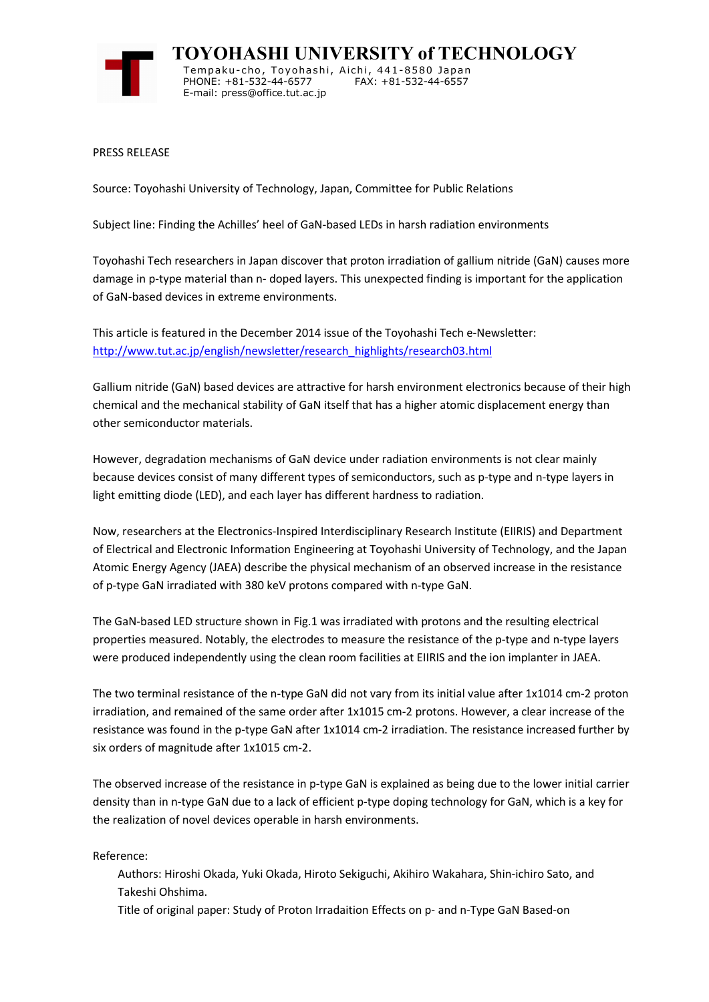

**TOYOHASHI UNIVERSITY of TECHNOLOGY** Tempaku-cho, Toyohashi, Aichi, 441-8580 Japan PHONE: +81-532-44-6577 FAX: +81-532-44-6557 E-mail: press@office.tut.ac.jp

PRESS RELEASE

Source: Toyohashi University of Technology, Japan, Committee for Public Relations

Subject line: Finding the Achilles' heel of GaN-based LEDs in harsh radiation environments

Toyohashi Tech researchers in Japan discover that proton irradiation of gallium nitride (GaN) causes more damage in p-type material than n- doped layers. This unexpected finding is important for the application of GaN-based devices in extreme environments.

This article is featured in the December 2014 issue of the Toyohashi Tech e-Newsletter: http://www.tut.ac.jp/english/newsletter/research\_highlights/research03.html

Gallium nitride (GaN) based devices are attractive for harsh environment electronics because of their high chemical and the mechanical stability of GaN itself that has a higher atomic displacement energy than other semiconductor materials.

However, degradation mechanisms of GaN device under radiation environments is not clear mainly because devices consist of many different types of semiconductors, such as p-type and n-type layers in light emitting diode (LED), and each layer has different hardness to radiation.

Now, researchers at the Electronics-Inspired Interdisciplinary Research Institute (EIIRIS) and Department of Electrical and Electronic Information Engineering at Toyohashi University of Technology, and the Japan Atomic Energy Agency (JAEA) describe the physical mechanism of an observed increase in the resistance of p-type GaN irradiated with 380 keV protons compared with n-type GaN.

The GaN-based LED structure shown in Fig.1 was irradiated with protons and the resulting electrical properties measured. Notably, the electrodes to measure the resistance of the p-type and n-type layers were produced independently using the clean room facilities at EIIRIS and the ion implanter in JAEA.

The two terminal resistance of the n-type GaN did not vary from its initial value after 1x1014 cm-2 proton irradiation, and remained of the same order after 1x1015 cm-2 protons. However, a clear increase of the resistance was found in the p-type GaN after 1x1014 cm-2 irradiation. The resistance increased further by six orders of magnitude after 1x1015 cm-2.

The observed increase of the resistance in p-type GaN is explained as being due to the lower initial carrier density than in n-type GaN due to a lack of efficient p-type doping technology for GaN, which is a key for the realization of novel devices operable in harsh environments.

Reference:

- Authors: Hiroshi Okada, Yuki Okada, Hiroto Sekiguchi, Akihiro Wakahara, Shin-ichiro Sato, and Takeshi Ohshima.
- Title of original paper: Study of Proton Irradaition Effects on p- and n-Type GaN Based-on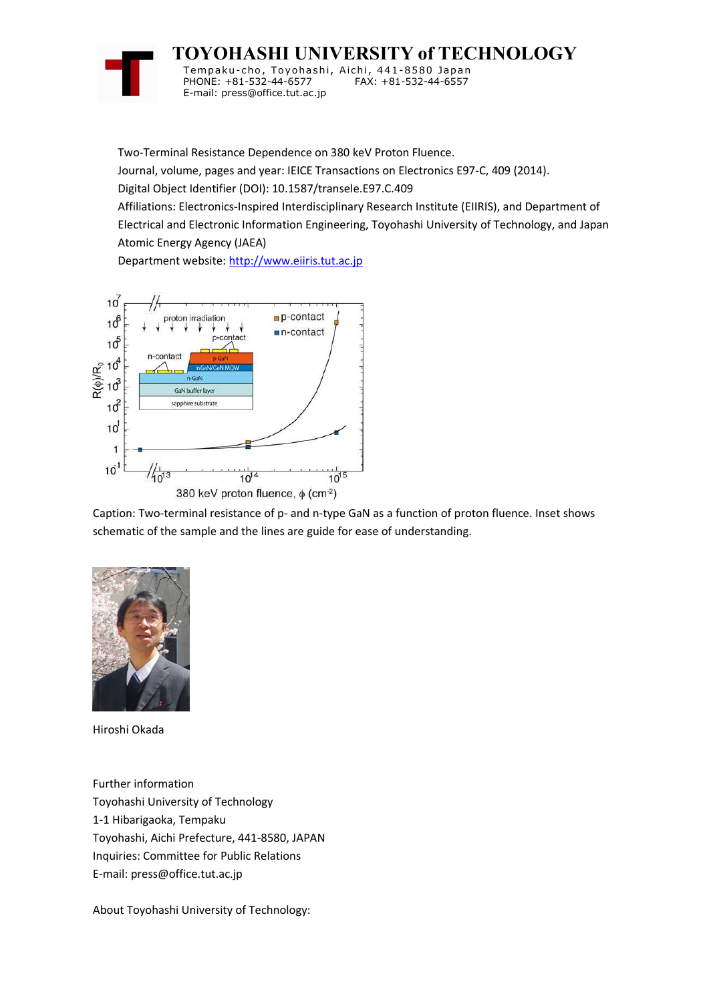

**TOYOHASHI UNIVERSITY of TECHNOLOGY** Tempaku-cho, Toyohashi, Aichi, 441-8580 Japan

PHONE: +81-532-44-6577 FAX: +81-532-44-6557 E-mail: press@office.tut.ac.jp

Two-Terminal Resistance Dependence on 380 keV Proton Fluence.

Journal, volume, pages and year: IEICE Transactions on Electronics E97-C, 409 (2014).

Digital Object Identifier (DOI): 10.1587/transele.E97.C.409

Affiliations: Electronics-Inspired Interdisciplinary Research Institute (EIIRIS), and Department of Electrical and Electronic Information Engineering, Toyohashi University of Technology, and Japan Atomic Energy Agency (JAEA)

Department website: http://www.eiiris.tut.ac.jp



Caption: Two-terminal resistance of p- and n-type GaN as a function of proton fluence. Inset shows schematic of the sample and the lines are guide for ease of understanding.



Hiroshi Okada

Further information Toyohashi University of Technology 1-1 Hibarigaoka, Tempaku Toyohashi, Aichi Prefecture, 441-8580, JAPAN Inquiries: Committee for Public Relations E-mail: press@office.tut.ac.jp

About Toyohashi University of Technology: